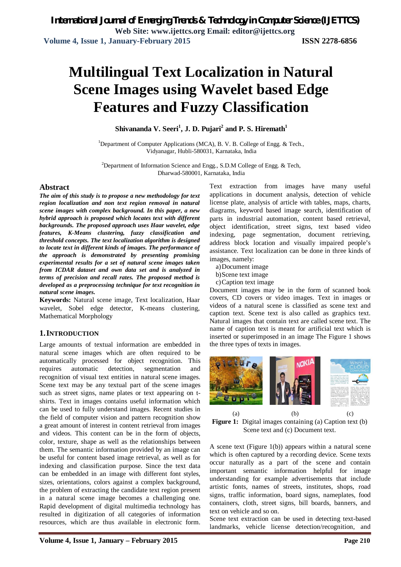# **Multilingual Text Localization in Natural Scene Images using Wavelet based Edge Features and Fuzzy Classification**

**Shivananda V. Seeri<sup>1</sup> , J. D. Pujari<sup>2</sup> and P. S. Hiremath<sup>1</sup>**

<sup>1</sup>Department of Computer Applications (MCA), B. V. B. College of Engg. & Tech., Vidyanagar, Hubli-580031, Karnataka, India

<sup>2</sup>Department of Information Science and Engg., S.D.M College of Engg.  $\&$  Tech, Dharwad-580001, Karnataka, India

#### **Abstract**

*The aim of this study is to propose a new methodology for text region localization and non text region removal in natural scene images with complex background. In this paper, a new hybrid approach is proposed which locates text with different backgrounds. The proposed approach uses Haar wavelet, edge features, K-Means clustering, fuzzy classification and threshold concepts. The text localization algorithm is designed to locate text in different kinds of images. The performance of the approach is demonstrated by presenting promising experimental results for a set of natural scene images taken from ICDAR dataset and own data set and is analyzed in terms of precision and recall rates. The proposed method is developed as a preprocessing technique for text recognition in natural scene images.*

**Keywords:** Natural scene image, Text localization, Haar wavelet, Sobel edge detector, K-means clustering, Mathematical Morphology

### **1.INTRODUCTION**

Large amounts of textual information are embedded in natural scene images which are often required to be automatically processed for object recognition. This requires automatic detection, segmentation and recognition of visual text entities in natural scene images. Scene text may be any textual part of the scene images such as street signs, name plates or text appearing on tshirts. Text in images contains useful information which can be used to fully understand images. Recent studies in the field of computer vision and pattern recognition show a great amount of interest in content retrieval from images and videos. This content can be in the form of objects, color, texture, shape as well as the relationships between them. The semantic information provided by an image can be useful for content based image retrieval, as well as for indexing and classification purpose. Since the text data can be embedded in an image with different font styles, sizes, orientations, colors against a complex background, the problem of extracting the candidate text region present in a natural scene image becomes a challenging one. Rapid development of digital multimedia technology has resulted in digitization of all categories of information resources, which are thus available in electronic form.

Text extraction from images have many useful applications in document analysis, detection of vehicle license plate, analysis of article with tables, maps, charts, diagrams, keyword based image search, identification of parts in industrial automation, content based retrieval, object identification, street signs, text based video indexing, page segmentation, document retrieving, address block location and visually impaired people's assistance. Text localization can be done in three kinds of images, namely:

- a)Document image
- b)Scene text image
- c)Caption text image

Document images may be in the form of scanned book covers, CD covers or video images. Text in images or videos of a natural scene is classified as scene text and caption text. Scene text is also called as graphics text. Natural images that contain text are called scene text. The name of caption text is meant for artificial text which is inserted or superimposed in an image The Figure 1 shows the three types of texts in images.



(a)  $(b)$  (c) **Figure 1:** Digital images containing (a) Caption text (b) Scene text and (c) Document text.

A scene text (Figure 1(b)) appears within a natural scene which is often captured by a recording device. Scene texts occur naturally as a part of the scene and contain important semantic information helpful for image understanding for example advertisements that include artistic fonts, names of streets, institutes, shops, road signs, traffic information, board signs, nameplates, food containers, cloth, street signs, bill boards, banners, and text on vehicle and so on.

Scene text extraction can be used in detecting text-based landmarks, vehicle license detection/recognition, and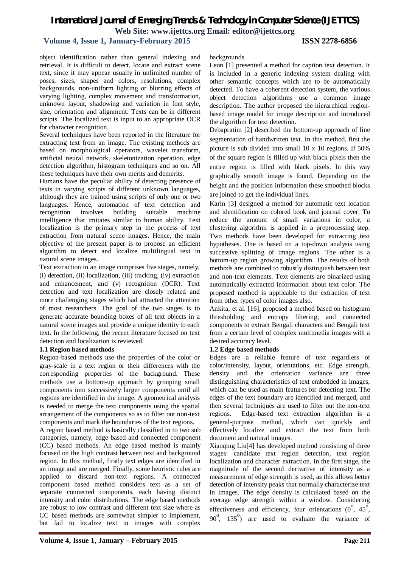### **Volume 4, Issue 1, January-February 2015 ISSN 2278-6856**

object identification rather than general indexing and retrieval. It is difficult to detect, locate and extract scene text, since it may appear usually in unlimited number of poses, sizes, shapes and colors, resolutions, complex backgrounds, non-uniform lighting or blurring effects of varying lighting, complex movement and transformation, unknown layout, shadowing and variation in font style, size, orientation and alignment. Texts can be in different scripts. The localized text is input to an appropriate OCR for character recognition.

Several techniques have been reported in the literature for extracting text from an image. The existing methods are based on morphological operators, wavelet transform, artificial neural network, skeletonization operation, edge detection algorithm, histogram techniques and so on. All these techniques have their own merits and demerits.

Humans have the peculiar ability of detecting presence of texts in varying scripts of different unknown languages, although they are trained using scripts of only one or two languages. Hence, automation of text detection and recognition involves building suitable machine intelligence that imitates similar to human ability. Text localization is the primary step in the process of text extraction from natural scene images. Hence, the main objective of the present paper is to propose an efficient algorithm to detect and localize multilingual text in natural scene images.

Text extraction in an image comprises five stages, namely, (i) detection, (ii) localization, (iii) tracking, (iv) extraction and enhancement, and (v) recognition (OCR). Text detection and text localization are closely related and more challenging stages which had attracted the attention of most researchers. The goal of the two stages is to generate accurate bounding boxes of all text objects in a natural scene images and provide a unique identity to each text. In the following, the recent literature focused on text detection and localization is reviewed.

#### **1.1 Region based methods**

Region-based methods use the properties of the color or gray-scale in a text region or their differences with the corresponding properties of the background. These methods use a bottom-up approach by grouping small components into successively larger components until all regions are identified in the image. A geometrical analysis is needed to merge the text components using the spatial arrangement of the components so as to filter out non-text components and mark the boundaries of the text regions.

A region based method is basically classified in to two sub categories, namely, edge based and connected component (CC) based methods. An edge based method is mainly focused on the high contrast between text and background region. In this method, firstly text edges are identified in an image and are merged. Finally, some heuristic rules are applied to discard non-text regions. A connected component based method considers text as a set of separate connected components, each having distinct intensity and color distributions. The edge based methods are robust to low contrast and different text size where as CC based methods are somewhat simpler to implement, but fail to localize text in images with complex

#### backgrounds.

Leon [1] presented a method for caption text detection. It is included in a generic indexing system dealing with other semantic concepts which are to be automatically detected. To have a coherent detection system, the various object detection algorithms use a common image description. The author proposed the hierarchical regionbased image model for image description and introduced the algorithm for text detection.

Debapratim [2] described the bottom-up approach of line segmentation of handwritten text. In this method, first the picture is sub divided into small 10 x 10 regions. If 50% of the square region is filled up with black pixels then the entire region is filled with black pixels. In this way graphically smooth image is found. Depending on the height and the position information these smoothed blocks are joined to get the individual lines.

Karin [3] designed a method for automatic text location and identification on colored book and journal cover. To reduce the amount of small variations in color, a clustering algorithm is applied in a preprocessing step. Two methods have been developed for extracting text hypotheses. One is based on a top-down analysis using successive splitting of image regions. The other is a bottom-up region growing algorithm. The results of both methods are combined to robustly distinguish between text and non-text elements. Text elements are binarized using automatically extracted information about text color. The proposed method is applicable to the extraction of text from other types of color images also.

Ankita, et al. [16], proposed a method based on histogram thresholding and entropy filtering, and connected components to extract Bengali characters and Bengali text from a certain level of complex multimedia images with a desired accuracy level.

#### **1.2 Edge based methods**

Edges are a reliable feature of text regardless of color/intensity, layout, orientations, etc. Edge strength, density and the orientation variance are three distinguishing characteristics of text embedded in images, which can be used as main features for detecting text. The edges of the text boundary are identified and merged, and then several techniques are used to filter out the non-text regions. Edge-based text extraction algorithm is a general-purpose method, which can quickly and effectively localize and extract the text from both document and natural images.

Xiaoqing Liu[4] has developed method consisting of three stages: candidate text region detection, text region localization and character extraction. In the first stage, the magnitude of the second derivative of intensity as a measurement of edge strength is used, as this allows better detection of intensity peaks that normally characterize text in images. The edge density is calculated based on the average edge strength within a window. Considering effectiveness and efficiency, four orientations  $(0^{\degree}, 45^{\degree})$ ,  $90^{\circ}$ ,  $135^{\circ}$ ) are used to evaluate the variance of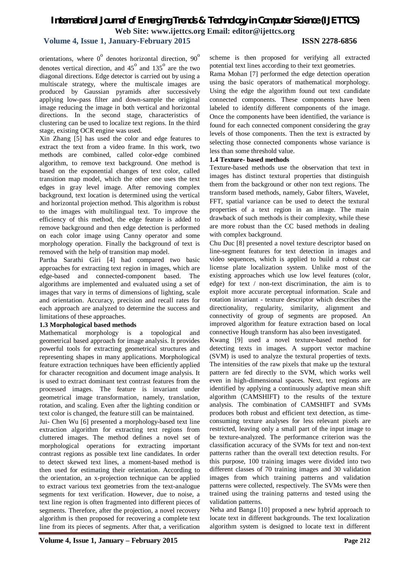# **Volume 4, Issue 1, January-February 2015 ISSN 2278-6856**

orientations, where  $0^{\circ}$  denotes horizontal direction,  $90^{\circ}$ denotes vertical direction, and  $45^{\circ}$  and  $135^{\circ}$  are the two diagonal directions. Edge detector is carried out by using a multiscale strategy, where the multiscale images are produced by Gaussian pyramids after successively applying low-pass filter and down-sample the original image reducing the image in both vertical and horizontal directions. In the second stage, characteristics of clustering can be used to localize text regions. In the third stage, existing OCR engine was used.

Xin Zhang [5] has used the color and edge features to extract the text from a video frame. In this work, two methods are combined, called color-edge combined algorithm, to remove text background. One method is based on the exponential changes of text color, called transition map model, which the other one uses the text edges in gray level image. After removing complex background, text location is determined using the vertical and horizontal projection method. This algorithm is robust to the images with multilingual text. To improve the efficiency of this method, the edge feature is added to remove background and then edge detection is performed on each color image using Canny operator and some morphology operation. Finally the background of text is removed with the help of transition map model.

Partha Sarathi Giri [4] had compared two basic approaches for extracting text region in images, which are edge-based and connected-component based. The algorithms are implemented and evaluated using a set of images that vary in terms of dimensions of lighting, scale and orientation. Accuracy, precision and recall rates for each approach are analyzed to determine the success and limitations of these approaches.

#### **1.3 Morphological based methods**

Mathematical morphology is a topological and geometrical based approach for image analysis. It provides powerful tools for extracting geometrical structures and representing shapes in many applications. Morphological feature extraction techniques have been efficiently applied for character recognition and document image analysis. It is used to extract dominant text contrast features from the processed images. The feature is invariant under geometrical image transformation, namely, translation, rotation, and scaling. Even after the lighting condition or text color is changed, the feature still can be maintained.

Jui- Chen Wu [6] presented a morphology-based text line extraction algorithm for extracting text regions from cluttered images. The method defines a novel set of morphological operations for extracting important contrast regions as possible text line candidates. In order to detect skewed text lines, a moment-based method is then used for estimating their orientation. According to the orientation, an x-projection technique can be applied to extract various text geometries from the text-analogue segments for text verification. However, due to noise, a text line region is often fragmented into different pieces of segments. Therefore, after the projection, a novel recovery algorithm is then proposed for recovering a complete text line from its pieces of segments. After that, a verification scheme is then proposed for verifying all extracted potential text lines according to their text geometries.

Rama Mohan [7] performed the edge detection operation using the basic operators of mathematical morphology. Using the edge the algorithm found out text candidate connected components. These components have been labeled to identify different components of the image. Once the components have been identified, the variance is found for each connected component considering the gray levels of those components. Then the text is extracted by selecting those connected components whose variance is less than some threshold value.

#### **1.4 Texture- based methods**

Texture-based methods use the observation that text in images has distinct textural properties that distinguish them from the background or other non text regions. The transform based methods, namely, Gabor filters, Wavelet, FFT, spatial variance can be used to detect the textural properties of a text region in an image. The main drawback of such methods is their complexity, while these are more robust than the CC based methods in dealing with complex background.

Chu Duc [8] presented a novel texture descriptor based on line-segment features for text detection in images and video sequences, which is applied to build a robust car license plate localization system. Unlike most of the existing approaches which use low level features (color, edge) for text / non-text discrimination, the aim is to exploit more accurate perceptual information. Scale and rotation invariant - texture descriptor which describes the directionality, regularity, similarity, alignment and connectivity of group of segments are proposed. An improved algorithm for feature extraction based on local connective Hough transform has also been investigated.

Kwang [9] used a novel texture-based method for detecting texts in images. A support vector machine (SVM) is used to analyze the textural properties of texts. The intensities of the raw pixels that make up the textural pattern are fed directly to the SVM, which works well even in high-dimensional spaces. Next, text regions are identified by applying a continuously adaptive mean shift algorithm (CAMSHIFT) to the results of the texture analysis. The combination of CAMSHIFT and SVMs produces both robust and efficient text detection, as timeconsuming texture analyses for less relevant pixels are restricted, leaving only a small part of the input image to be texture-analyzed. The performance criterion was the classification accuracy of the SVMs for text and non-text patterns rather than the overall text detection results. For this purpose, 100 training images were divided into two different classes of 70 training images and 30 validation images from which training patterns and validation patterns were collected, respectively. The SVMs were then trained using the training patterns and tested using the validation patterns.

Neha and Banga [10] proposed a new hybrid approach to locate text in different backgrounds. The text localization algorithm system is designed to locate text in different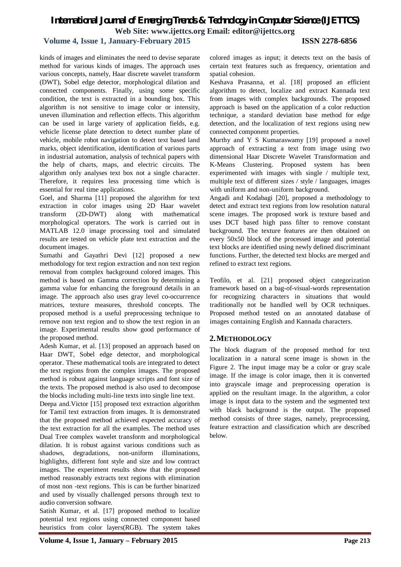### **Volume 4, Issue 1, January-February 2015 ISSN 2278-6856**

kinds of images and eliminates the need to devise separate method for various kinds of images. The approach uses various concepts, namely, Haar discrete wavelet transform (DWT), Sobel edge detector, morphological dilation and connected components. Finally, using some specific condition, the text is extracted in a bounding box. This algorithm is not sensitive to image color or intensity, uneven illumination and reflection effects. This algorithm can be used in large variety of application fields, e.g. vehicle license plate detection to detect number plate of vehicle, mobile robot navigation to detect text based land marks, object identification, identification of various parts in industrial automation, analysis of technical papers with the help of charts, maps, and electric circuits. The algorithm only analyses text box not a single character. Therefore, it requires less processing time which is essential for real time applications.

Goel, and Sharma [11] proposed the algorithm for text extraction in color images using 2D Haar wavelet transform (2D-DWT) along with mathematical morphological operators. The work is carried out in MATLAB 12.0 image processing tool and simulated results are tested on vehicle plate text extraction and the document images.

Sumathi and Gayathri Devi [12] proposed a new methodology for text region extraction and non text region removal from complex background colored images. This method is based on Gamma correction by determining a gamma value for enhancing the foreground details in an image. The approach also uses gray level co-occurrence matrices, texture measures, threshold concepts. The proposed method is a useful preprocessing technique to remove non text region and to show the text region in an image. Experimental results show good performance of the proposed method.

Adesh Kumar, et al. [13] proposed an approach based on Haar DWT, Sobel edge detector, and morphological operator. These mathematical tools are integrated to detect the text regions from the complex images. The proposed method is robust against language scripts and font size of the texts. The proposed method is also used to decompose the blocks including multi-line texts into single line text.

Deepa and.Victor [15] proposed text extraction algorithm for Tamil text extraction from images. It is demonstrated that the proposed method achieved expected accuracy of the text extraction for all the examples. The method uses Dual Tree complex wavelet transform and morphological dilation. It is robust against various conditions such as shadows, degradations, non-uniform illuminations, highlights, different font style and size and low contract images. The experiment results show that the proposed method reasonably extracts text regions with elimination of most non -text regions. This is can be further binarized and used by visually challenged persons through text to audio conversion software.

Satish Kumar, et al. [17] proposed method to localize potential text regions using connected component based heuristics from color layers(RGB). The system takes

Keshava Prasanna, et al. [18] proposed an efficient algorithm to detect, localize and extract Kannada text from images with complex backgrounds. The proposed approach is based on the application of a color reduction technique, a standard deviation base method for edge detection, and the localization of text regions using new connected component properties.

Murthy and Y S Kumaraswamy [19] proposed a novel approach of extracting a text from image using two dimensional Haar Discrete Wavelet Transformation and K-Means Clustering. Proposed system has been experimented with images with single / multiple text, multiple text of different sizes / style / languages, images with uniform and non-uniform background.

Angadi and Kodabagi [20], proposed a methodology to detect and extract text regions from low resolution natural scene images. The proposed work is texture based and uses DCT based high pass filter to remove constant background. The texture features are then obtained on every 50x50 block of the processed image and potential text blocks are identified using newly defined discriminant functions. Further, the detected text blocks are merged and refined to extract text regions.

Teofilo, et al. [21] proposed object categorization framework based on a bag-of-visual-words representation for recognizing characters in situations that would traditionally not be handled well by OCR techniques. Proposed method tested on an annotated database of images containing English and Kannada characters.

### **2.METHODOLOGY**

The block diagram of the proposed method for text localization in a natural scene image is shown in the Figure 2. The input image may be a color or gray scale image. If the image is color image, then it is converted into grayscale image and preprocessing operation is applied on the resultant image. In the algorithm, a color image is input data to the system and the segmented text with black background is the output. The proposed method consists of three stages, namely, preprocessing, feature extraction and classification which are described below.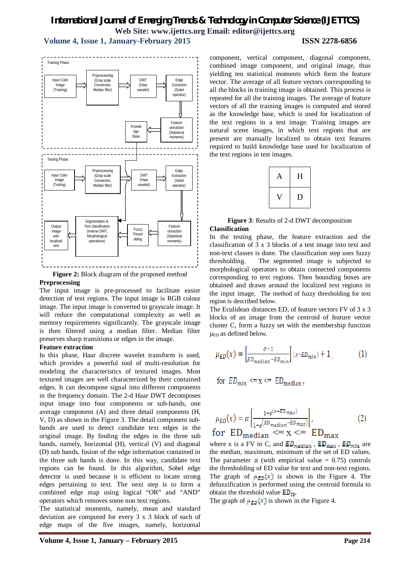# *International Journal of Emerging Trends & Technology in Computer Science (IJETTCS)* **Web Site: www.ijettcs.org Email: editor@ijettcs.org Volume 4, Issue 1, January-February 2015 ISSN 2278-6856**



**Figure 2:** Block diagram of the proposed method

#### **Preprocessing**

The input image is pre-processed to facilitate easier detection of text regions. The input image is RGB colour image. The input image is converted to grayscale image. It will reduce the computational complexity as well as memory requirements significantly. The grayscale image is then filtered using a median filter. Median filter preserves sharp transitions or edges in the image.

#### **Feature extraction**

In this phase, Haar discrete wavelet transform is used, which provides a powerful tool of multi-resolution for modeling the characteristics of textured images. Most textured images are well characterized by their contained edges. It can decompose signal into different components in the frequency domain. The 2-d Haar DWT decomposes input image into four components or sub-bands, one average component (A) and three detail components (H, V, D) as shown in the Figure 3. The detail component subbands are used to detect candidate text edges in the original image. By finding the edges in the three sub bands, namely, horizontal (H), vertical (V) and diagonal (D) sub bands, fusion of the edge information contained in the three sub bands is done. In this way, candidate text regions can be found. In this algorithm, Sobel edge detector is used because it is efficient to locate strong edges pertaining to text. The next step is to form a combined edge map using logical "OR" and "AND" operators which removes some non text regions.

The statistical moments, namely, mean and standard deviation are computed for every 3 x 3 block of each of edge maps of the five images, namely, horizontal

component, vertical component, diagonal component, combined image component, and original image, thus yielding ten statistical moments which form the feature vector. The average of all feature vectors corresponding to all the blocks in training image is obtained. This process is repeated for all the training images. The average of feature vectors of all the training images is computed and stored as the knowledge base, which is used for localization of the text regions in a test image. Training images are natural scene images, in which text regions that are present are manually localized to obtain text features required to build knowledge base used for localization of the text regions in test images.

| Α | Н   |
|---|-----|
| V | , ו |

**Figure 3**: Results of 2-d DWT decomposition **Classification**

In the testing phase, the feature extraction and the classification of 3 x 3 blocks of a test image into text and non-text classes is done. The classification step uses fuzzy thresholding. The segmented image is subjected to morphological operators to obtain connected components corresponding to text regions. Then bounding boxes are obtained and drawn around the localized text regions in the input image. The method of fuzzy thresholding for text region is described below.

The Eculidean distances ED, of feature vectors FV of 3 x 3 blocks of an image from the centroid of feature vector cluster C, form a fuzzy set with the membership function  $\mu_{ED}$  as defined below.

$$
\mu_{ED}(x) = \left[\frac{\alpha - 1}{ED_{median} - ED_{min}}\right](x - ED_{min}) + 1,
$$
\n(1)

$$
for ED_{min} \leq x \leq ED_{median},
$$

$$
\mu_{ED}(x) = \alpha \left[ \frac{1 - e^{(x - ED_{max})}}{1 - e^{(ED_{median} - ED_{max})}} \right],
$$
\n
$$
\text{for ED}_{median} \leq x \leq E_{max}
$$
\n(2)

where x is a FV in C, and  $ED_{median}$ ,  $ED_{max}$ ,  $ED_{min}$  are the median, maximum, minimum of the set of ED values. The parameter  $\alpha$  (with empirical value = 0.75) controls the thresholding of ED value for text and non-text regions. The graph of  $\mu_{ED}(x)$  is shown in the Figure 4. The defuzzification is performed using the centroid formula to obtain the threshold value  $ED_{th}$ .

The graph of  $\mu_{F,0}(x)$  is shown in the Figure 4.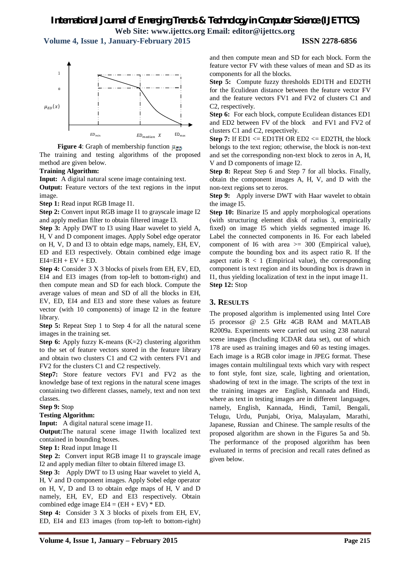**Volume 4, Issue 1, January-February 2015 ISSN 2278-6856**





The training and testing algorithms of the proposed method are given below.

#### **Training Algorithm:**

**Input:** A digital natural scene image containing text.

**Output:** Feature vectors of the text regions in the input image.

**Step 1:** Read input RGB Image I1.

**Step 2:** Convert input RGB image I1 to grayscale image I2 and apply median filter to obtain filtered image I3.

**Step 3:** Apply DWT to I3 using Haar wavelet to yield A, H, V and D component images. Apply Sobel edge operator on H, V, D and I3 to obtain edge maps, namely, EH, EV, ED and EI3 respectively. Obtain combined edge image  $EI4=EH + EV + ED$ .

**Step 4:** Consider 3 X 3 blocks of pixels from EH, EV, ED, EI4 and EI3 images (from top-left to bottom-right) and then compute mean and SD for each block. Compute the average values of mean and SD of all the blocks in EH, EV, ED, EI4 and EI3 and store these values as feature vector (with 10 components) of image I2 in the feature library.

**Step 5:** Repeat Step 1 to Step 4 for all the natural scene images in the training set.

**Step 6:** Apply fuzzy K-means (K=2) clustering algorithm to the set of feature vectors stored in the feature library and obtain two clusters C1 and C2 with centers FV1 and FV2 for the clusters C1 and C2 respectively.

**Step7:** Store feature vectors FV1 and FV2 as the knowledge base of text regions in the natural scene images containing two different classes, namely, text and non text classes.

**Step 9:** Stop

#### **Testing Algorithm:**

**Input:** A digital natural scene image I1.

**Output:**The natural scene image I1with localized text contained in bounding boxes.

**Step 1:** Read input Image I1

**Step 2:** Convert input RGB image I1 to grayscale image I2 and apply median filter to obtain filtered image I3.

**Step 3:** Apply DWT to I3 using Haar wavelet to yield A, H, V and D component images. Apply Sobel edge operator on H, V, D and I3 to obtain edge maps of H, V and D namely, EH, EV, ED and EI3 respectively. Obtain combined edge image  $EI4 = (EH + EV) * ED$ .

**Step 4:** Consider 3 X 3 blocks of pixels from EH, EV, ED, EI4 and EI3 images (from top-left to bottom-right) and then compute mean and SD for each block. Form the feature vector FV with these values of mean and SD as its components for all the blocks.

**Step 5:** Compute fuzzy thresholds ED1TH and ED2TH for the Eculidean distance between the feature vector FV and the feature vectors FV1 and FV2 of clusters C1 and C2, respectively.

**Step 6:** For each block, compute Eculidean distances ED1 and ED2 between FV of the block and FV1 and FV2 of clusters C1 and C2, respectively.

**Step 7:** If  $ED1 \leq ED1TH \leq CD2 \leq ED2TH$ , the block belongs to the text region; otherwise, the block is non-text and set the corresponding non-text block to zeros in A, H, V and D components of image I2.

**Step 8:** Repeat Step 6 and Step 7 for all blocks. Finally, obtain the component images A, H, V, and D with the non-text regions set to zeros.

**Step 9:** Apply inverse DWT with Haar wavelet to obtain the image I5.

**Step 10:** Binarize I5 and apply morphological operations (with structuring element disk of radius 3, empirically fixed) on image I5 which yields segmented image I6. Label the connected components in I6. For each labeled component of I6 with area  $\ge$  300 (Empirical value), compute the bounding box and its aspect ratio R. If the aspect ratio  $R < 1$  (Empirical value), the corresponding component is text region and its bounding box is drawn in I1, thus yielding localization of text in the input image I1. **Step 12:** Stop

#### **3. RESULTS**

The proposed algorithm is implemented using Intel Core i5 processor @ 2.5 GHz 4GB RAM and MATLAB R2009a. Experiments were carried out using 238 natural scene images (Including ICDAR data set), out of which 178 are used as training images and 60 as testing images. Each image is a RGB color image in JPEG format. These images contain multilingual texts which vary with respect to font style, font size, scale, lighting and orientation, shadowing of text in the image. The scripts of the text in the training images are English, Kannada and Hindi, where as text in testing images are in different languages, namely, English, Kannada, Hindi, Tamil, Bengali, Telugu, Urdu, Punjabi, Oriya, Malayalam, Marathi, Japanese, Russian and Chinese. The sample results of the proposed algorithm are shown in the Figures 5a and 5b. The performance of the proposed algorithm has been evaluated in terms of precision and recall rates defined as given below.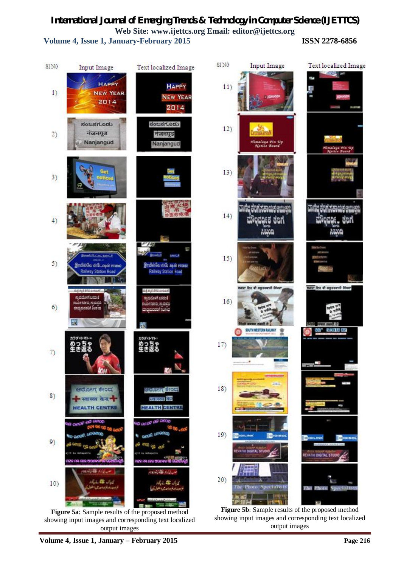**Volume 4, Issue 1, January-February 2015 ISSN 2278-6856**



**Figure 5a**: Sample results of the proposed method showing input images and corresponding text localized output images showing input images and corresponding text localized

output images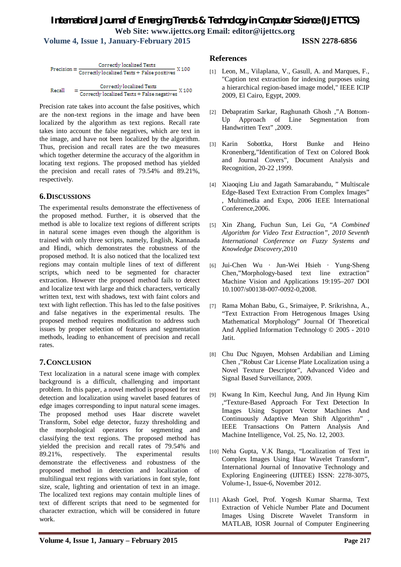# *International Journal of Emerging Trends & Technology in Computer Science (IJETTCS)* **Web Site: www.ijettcs.org Email: editor@ijettcs.org Volume 4, Issue 1, January-February 2015 ISSN 2278-6856**

 $\text{Precision} = \frac{\text{Correctly localized Texts}}{\text{Correctly localized Texts} + \text{False positives}} \times 100$ Correctly localized Texts = Correctly localized Texts + False negatives X 100 Recall

Precision rate takes into account the false positives, which are the non-text regions in the image and have been localized by the algorithm as text regions. Recall rate takes into account the false negatives, which are text in the image, and have not been localized by the algorithm. Thus, precision and recall rates are the two measures which together determine the accuracy of the algorithm in locating text regions. The proposed method has yielded the precision and recall rates of 79.54% and 89.21%, respectively.

# **6.DISCUSSIONS**

The experimental results demonstrate the effectiveness of the proposed method. Further, it is observed that the method is able to localize text regions of different scripts in natural scene images even though the algorithm is trained with only three scripts, namely, English, Kannada and Hindi, which demonstrates the robustness of the proposed method. It is also noticed that the localized text regions may contain multiple lines of text of different scripts, which need to be segmented for character extraction. However the proposed method fails to detect and localize text with large and thick characters, vertically written text, text with shadows, text with faint colors and text with light reflection. This has led to the false positives and false negatives in the experimental results. The proposed method requires modification to address such issues by proper selection of features and segmentation methods, leading to enhancement of precision and recall rates.

# **7.CONCLUSION**

Text localization in a natural scene image with complex background is a difficult, challenging and important problem. In this paper, a novel method is proposed for text detection and localization using wavelet based features of edge images corresponding to input natural scene images. The proposed method uses Haar discrete wavelet Transform, Sobel edge detector, fuzzy thresholding and the morphological operators for segmenting and classifying the text regions. The proposed method has yielded the precision and recall rates of 79.54% and 89.21%, respectively. The experimental results demonstrate the effectiveness and robustness of the proposed method in detection and localization of multilingual text regions with variations in font style, font size, scale, lighting and orientation of text in an image. The localized text regions may contain multiple lines of text of different scripts that need to be segmented for character extraction, which will be considered in future work.

### **References**

- [1] Leon, M., Vilaplana, V., Gasull, A. and Marques, F., "Caption text extraction for indexing purposes using a hierarchical region-based image model," IEEE ICIP 2009, El Cairo, Egypt, 2009.
- [2] Debapratim Sarkar, Raghunath Ghosh ,"A Bottom-Up Approach of Line Segmentation from Handwritten Text" ,2009.
- [3] Karin Sobottka, Horst Bunke and Heino Kronenberg,"Identification of Text on Colored Book and Journal Covers", Document Analysis and Recognition, 20-22 ,1999.
- [4] Xiaoqing Liu and Jagath Samarabandu, " Multiscale Edge-Based Text Extraction From Complex Images" , Multimedia and Expo, 2006 IEEE International Conference,2006.
- [5] Xin Zhang, Fuchun Sun, Lei Gu, "*A Combined Algorithm for Video Text Extraction", 2010 Seventh International Conference on Fuzzy Systems and Knowledge Discovery,*2010
- [6] Jui-Chen Wu · Jun-Wei Hsieh · Yung-Sheng Chen,"Morphology-based text line extraction" Machine Vision and Applications 19:195–207 DOI 10.1007/s00138-007-0092-0,2008.
- [7] Rama Mohan Babu, G., Srimaiyee, P. Srikrishna, A., "Text Extraction From Hetrogenous Images Using Mathematical Morphology" Journal Of Theoretical And Applied Information Technology © 2005 - 2010 Jatit.
- [8] Chu Duc Nguyen, Mohsen Ardabilian and Liming Chen ,"Robust Car License Plate Localization using a Novel Texture Descriptor", Advanced Video and Signal Based Surveillance, 2009.
- [9] Kwang In Kim, Keechul Jung, And Jin Hyung Kim ,"Texture-Based Approach For Text Detection In Images Using Support Vector Machines And Continuously Adaptive Mean Shift Algorithm" , IEEE Transactions On Pattern Analysis And Machine Intelligence, Vol. 25, No. 12, 2003.
- [10] Neha Gupta, V.K Banga, "Localization of Text in Complex Images Using Haar Wavelet Transform", International Journal of Innovative Technology and Exploring Engineering (IJITEE) ISSN: 2278-3075, Volume-1, Issue-6, November 2012.
- [11] Akash Goel, Prof. Yogesh Kumar Sharma, Text Extraction of Vehicle Number Plate and Document Images Using Discrete Wavelet Transform in MATLAB, IOSR Journal of Computer Engineering